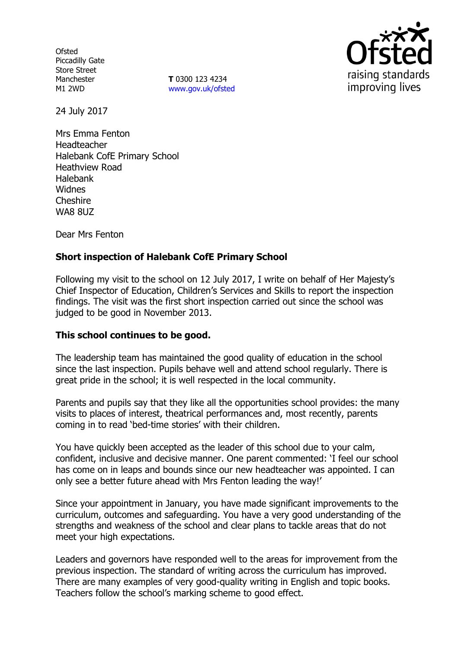**Ofsted** Piccadilly Gate Store Street Manchester M1 2WD

**T** 0300 123 4234 www.gov.uk/ofsted



24 July 2017

Mrs Emma Fenton Headteacher Halebank CofE Primary School Heathview Road Halebank Widnes Cheshire **WA8 8UZ** 

Dear Mrs Fenton

# **Short inspection of Halebank CofE Primary School**

Following my visit to the school on 12 July 2017, I write on behalf of Her Majesty's Chief Inspector of Education, Children's Services and Skills to report the inspection findings. The visit was the first short inspection carried out since the school was judged to be good in November 2013.

## **This school continues to be good.**

The leadership team has maintained the good quality of education in the school since the last inspection. Pupils behave well and attend school regularly. There is great pride in the school; it is well respected in the local community.

Parents and pupils say that they like all the opportunities school provides: the many visits to places of interest, theatrical performances and, most recently, parents coming in to read 'bed-time stories' with their children.

You have quickly been accepted as the leader of this school due to your calm, confident, inclusive and decisive manner. One parent commented: 'I feel our school has come on in leaps and bounds since our new headteacher was appointed. I can only see a better future ahead with Mrs Fenton leading the way!'

Since your appointment in January, you have made significant improvements to the curriculum, outcomes and safeguarding. You have a very good understanding of the strengths and weakness of the school and clear plans to tackle areas that do not meet your high expectations.

Leaders and governors have responded well to the areas for improvement from the previous inspection. The standard of writing across the curriculum has improved. There are many examples of very good-quality writing in English and topic books. Teachers follow the school's marking scheme to good effect.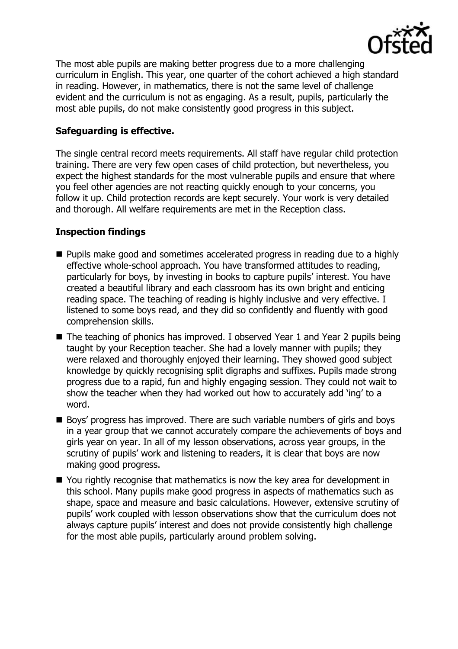

The most able pupils are making better progress due to a more challenging curriculum in English. This year, one quarter of the cohort achieved a high standard in reading. However, in mathematics, there is not the same level of challenge evident and the curriculum is not as engaging. As a result, pupils, particularly the most able pupils, do not make consistently good progress in this subject.

## **Safeguarding is effective.**

The single central record meets requirements. All staff have regular child protection training. There are very few open cases of child protection, but nevertheless, you expect the highest standards for the most vulnerable pupils and ensure that where you feel other agencies are not reacting quickly enough to your concerns, you follow it up. Child protection records are kept securely. Your work is very detailed and thorough. All welfare requirements are met in the Reception class.

# **Inspection findings**

- **Pupils make good and sometimes accelerated progress in reading due to a highly** effective whole-school approach. You have transformed attitudes to reading, particularly for boys, by investing in books to capture pupils' interest. You have created a beautiful library and each classroom has its own bright and enticing reading space. The teaching of reading is highly inclusive and very effective. I listened to some boys read, and they did so confidently and fluently with good comprehension skills.
- The teaching of phonics has improved. I observed Year 1 and Year 2 pupils being taught by your Reception teacher. She had a lovely manner with pupils; they were relaxed and thoroughly enjoyed their learning. They showed good subject knowledge by quickly recognising split digraphs and suffixes. Pupils made strong progress due to a rapid, fun and highly engaging session. They could not wait to show the teacher when they had worked out how to accurately add 'ing' to a word.
- Boys' progress has improved. There are such variable numbers of girls and boys in a year group that we cannot accurately compare the achievements of boys and girls year on year. In all of my lesson observations, across year groups, in the scrutiny of pupils' work and listening to readers, it is clear that boys are now making good progress.
- You rightly recognise that mathematics is now the key area for development in this school. Many pupils make good progress in aspects of mathematics such as shape, space and measure and basic calculations. However, extensive scrutiny of pupils' work coupled with lesson observations show that the curriculum does not always capture pupils' interest and does not provide consistently high challenge for the most able pupils, particularly around problem solving.